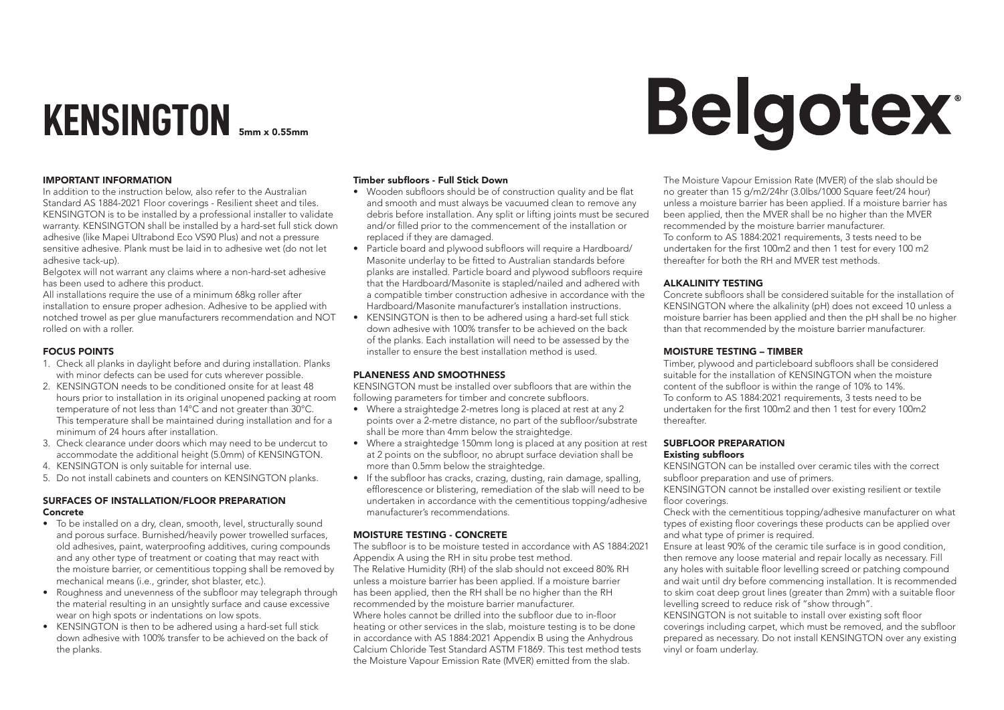# **KENSINGTON** 5mm x 0.55mm

# IMPORTANT INFORMATION

In addition to the instruction below, also refer to the Australian Standard AS 1884-2021 Floor coverings - Resilient sheet and tiles. KENSINGTON is to be installed by a professional installer to validate warranty. KENSINGTON shall be installed by a hard-set full stick down adhesive (like Mapei Ultrabond Eco VS90 Plus) and not a pressure sensitive adhesive. Plank must be laid in to adhesive wet (do not let adhesive tack-up).

Belgotex will not warrant any claims where a non-hard-set adhesive has been used to adhere this product.

All installations require the use of a minimum 68kg roller after installation to ensure proper adhesion. Adhesive to be applied with notched trowel as per glue manufacturers recommendation and NOT rolled on with a roller.

### FOCUS POINTS

- 1. Check all planks in daylight before and during installation. Planks with minor defects can be used for cuts wherever possible.
- 2. KENSINGTON needs to be conditioned onsite for at least 48 hours prior to installation in its original unopened packing at room temperature of not less than 14°C and not greater than 30°C. This temperature shall be maintained during installation and for a minimum of 24 hours after installation.
- 3. Check clearance under doors which may need to be undercut to accommodate the additional height (5.0mm) of KENSINGTON.
- 4. KENSINGTON is only suitable for internal use.
- 5. Do not install cabinets and counters on KENSINGTON planks.

### SURFACES OF INSTALLATION/FLOOR PREPARATION Concrete

- To be installed on a dry, clean, smooth, level, structurally sound and porous surface. Burnished/heavily power trowelled surfaces, old adhesives, paint, waterproofing additives, curing compounds and any other type of treatment or coating that may react with the moisture barrier, or cementitious topping shall be removed by mechanical means (i.e., grinder, shot blaster, etc.).
- Roughness and unevenness of the subfloor may telegraph through the material resulting in an unsightly surface and cause excessive wear on high spots or indentations on low spots.
- KENSINGTON is then to be adhered using a hard-set full stick down adhesive with 100% transfer to be achieved on the back of the planks.

### Timber subfloors - Full Stick Down

- Wooden subfloors should be of construction quality and be flat and smooth and must always be vacuumed clean to remove any debris before installation. Any split or lifting joints must be secured and/or filled prior to the commencement of the installation or replaced if they are damaged.
- Particle board and plywood subfloors will require a Hardboard/ Masonite underlay to be fitted to Australian standards before planks are installed. Particle board and plywood subfloors require that the Hardboard/Masonite is stapled/nailed and adhered with a compatible timber construction adhesive in accordance with the Hardboard/Masonite manufacturer's installation instructions.
- KENSINGTON is then to be adhered using a hard-set full stick down adhesive with 100% transfer to be achieved on the back of the planks. Each installation will need to be assessed by the installer to ensure the best installation method is used.

### PLANENESS AND SMOOTHNESS

KENSINGTON must be installed over subfloors that are within the following parameters for timber and concrete subfloors.

- Where a straightedge 2-metres long is placed at rest at any 2 points over a 2-metre distance, no part of the subfloor/substrate shall be more than 4mm below the straightedge.
- Where a straightedge 150mm long is placed at any position at rest at 2 points on the subfloor, no abrupt surface deviation shall be more than 0.5mm below the straightedge.
- If the subfloor has cracks, crazing, dusting, rain damage, spalling, efflorescence or blistering, remediation of the slab will need to be undertaken in accordance with the cementitious topping/adhesive manufacturer's recommendations.

### MOISTURE TESTING - CONCRETE

The subfloor is to be moisture tested in accordance with AS 1884:2021 Appendix A using the RH in situ probe test method. The Relative Humidity (RH) of the slab should not exceed 80% RH unless a moisture barrier has been applied. If a moisture barrier has been applied, then the RH shall be no higher than the RH recommended by the moisture barrier manufacturer. Where holes cannot be drilled into the subfloor due to in-floor heating or other services in the slab, moisture testing is to be done in accordance with AS 1884:2021 Appendix B using the Anhydrous Calcium Chloride Test Standard ASTM F1869. This test method tests the Moisture Vapour Emission Rate (MVER) emitted from the slab.

The Moisture Vapour Emission Rate (MVER) of the slab should be no greater than 15 g/m2/24hr (3.0lbs/1000 Square feet/24 hour) unless a moisture barrier has been applied. If a moisture barrier has been applied, then the MVER shall be no higher than the MVER recommended by the moisture barrier manufacturer. To conform to AS 1884:2021 requirements, 3 tests need to be undertaken for the first 100m2 and then 1 test for every 100 m2 thereafter for both the RH and MVER test methods.

### ALKALINITY TESTING

Concrete subfloors shall be considered suitable for the installation of KENSINGTON where the alkalinity (pH) does not exceed 10 unless a moisture barrier has been applied and then the pH shall be no higher than that recommended by the moisture barrier manufacturer.

# MOISTURE TESTING – TIMBER

Timber, plywood and particleboard subfloors shall be considered suitable for the installation of KENSINGTON when the moisture content of the subfloor is within the range of 10% to 14%. To conform to AS 1884:2021 requirements, 3 tests need to be undertaken for the first 100m2 and then 1 test for every 100m2 thereafter.

### SUBFLOOR PREPARATION Existing subfloors

KENSINGTON can be installed over ceramic tiles with the correct subfloor preparation and use of primers.

KENSINGTON cannot be installed over existing resilient or textile floor coverings.

Check with the cementitious topping/adhesive manufacturer on what types of existing floor coverings these products can be applied over and what type of primer is required.

Ensure at least 90% of the ceramic tile surface is in good condition, then remove any loose material and repair locally as necessary. Fill any holes with suitable floor levelling screed or patching compound and wait until dry before commencing installation. It is recommended to skim coat deep grout lines (greater than 2mm) with a suitable floor levelling screed to reduce risk of "show through".

KENSINGTON is not suitable to install over existing soft floor coverings including carpet, which must be removed, and the subfloor prepared as necessary. Do not install KENSINGTON over any existing vinyl or foam underlay.

# **Belgotex**